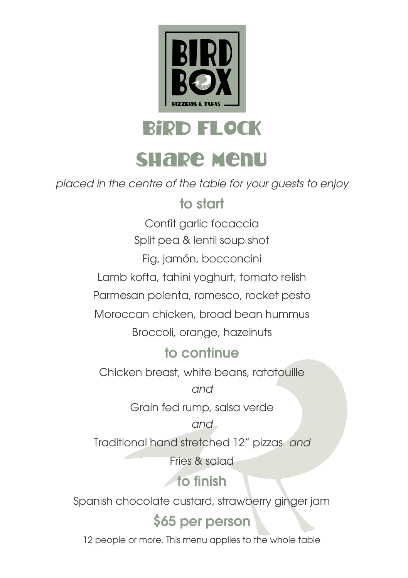

bird FLOCK

# share menu

*placed in the centre of the table for your guests to enjoy*

### to start

Confit garlic focaccia Split pea & lentil soup shot Fig, jamón, bocconcini

Lamb kofta, tahini yoghurt, tomato relish

Parmesan polenta, romesco, rocket pesto

Moroccan chicken, broad bean hummus

Broccoli, orange, hazelnuts

### to continue

Chicken breast, white beans, ratatouille

*and*

Grain fed rump, salsa verde

*and*

Traditional hand stretched 12" pizzas *and*

Fries & salad

to finish

Spanish chocolate custard, strawberry ginger jam

## \$65 per person

12 people or more. This menu applies to the whole table